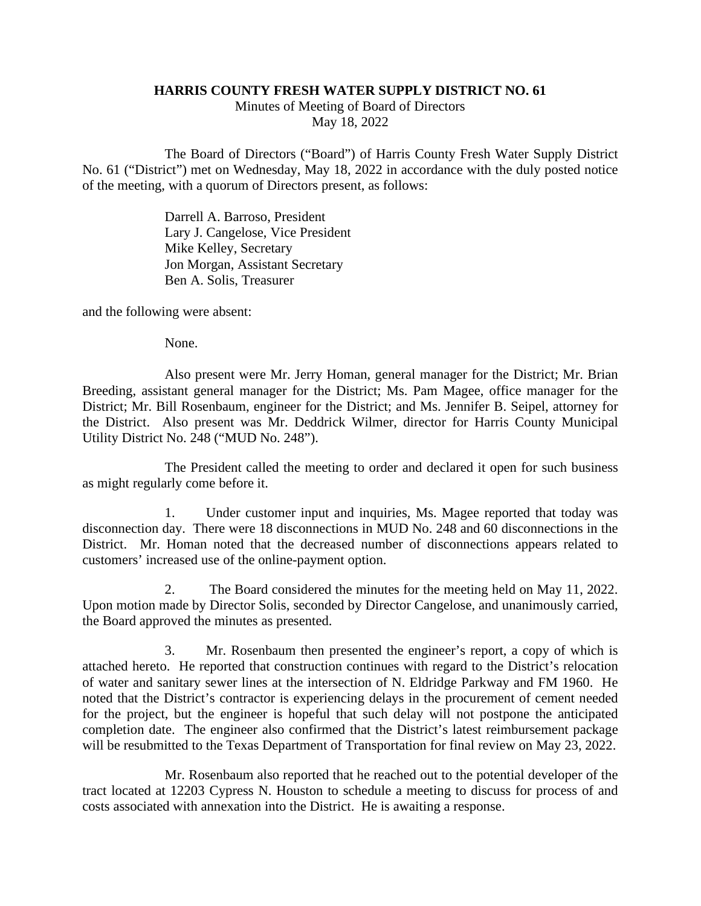## **HARRIS COUNTY FRESH WATER SUPPLY DISTRICT NO. 61**

Minutes of Meeting of Board of Directors May 18, 2022

The Board of Directors ("Board") of Harris County Fresh Water Supply District No. 61 ("District") met on Wednesday, May 18, 2022 in accordance with the duly posted notice of the meeting, with a quorum of Directors present, as follows:

> Darrell A. Barroso, President Lary J. Cangelose, Vice President Mike Kelley, Secretary Jon Morgan, Assistant Secretary Ben A. Solis, Treasurer

and the following were absent:

None.

Also present were Mr. Jerry Homan, general manager for the District; Mr. Brian Breeding, assistant general manager for the District; Ms. Pam Magee, office manager for the District; Mr. Bill Rosenbaum, engineer for the District; and Ms. Jennifer B. Seipel, attorney for the District. Also present was Mr. Deddrick Wilmer, director for Harris County Municipal Utility District No. 248 ("MUD No. 248").

The President called the meeting to order and declared it open for such business as might regularly come before it.

1. Under customer input and inquiries, Ms. Magee reported that today was disconnection day. There were 18 disconnections in MUD No. 248 and 60 disconnections in the District. Mr. Homan noted that the decreased number of disconnections appears related to customers' increased use of the online-payment option.

2. The Board considered the minutes for the meeting held on May 11, 2022. Upon motion made by Director Solis, seconded by Director Cangelose, and unanimously carried, the Board approved the minutes as presented.

3. Mr. Rosenbaum then presented the engineer's report, a copy of which is attached hereto. He reported that construction continues with regard to the District's relocation of water and sanitary sewer lines at the intersection of N. Eldridge Parkway and FM 1960. He noted that the District's contractor is experiencing delays in the procurement of cement needed for the project, but the engineer is hopeful that such delay will not postpone the anticipated completion date. The engineer also confirmed that the District's latest reimbursement package will be resubmitted to the Texas Department of Transportation for final review on May 23, 2022.

Mr. Rosenbaum also reported that he reached out to the potential developer of the tract located at 12203 Cypress N. Houston to schedule a meeting to discuss for process of and costs associated with annexation into the District. He is awaiting a response.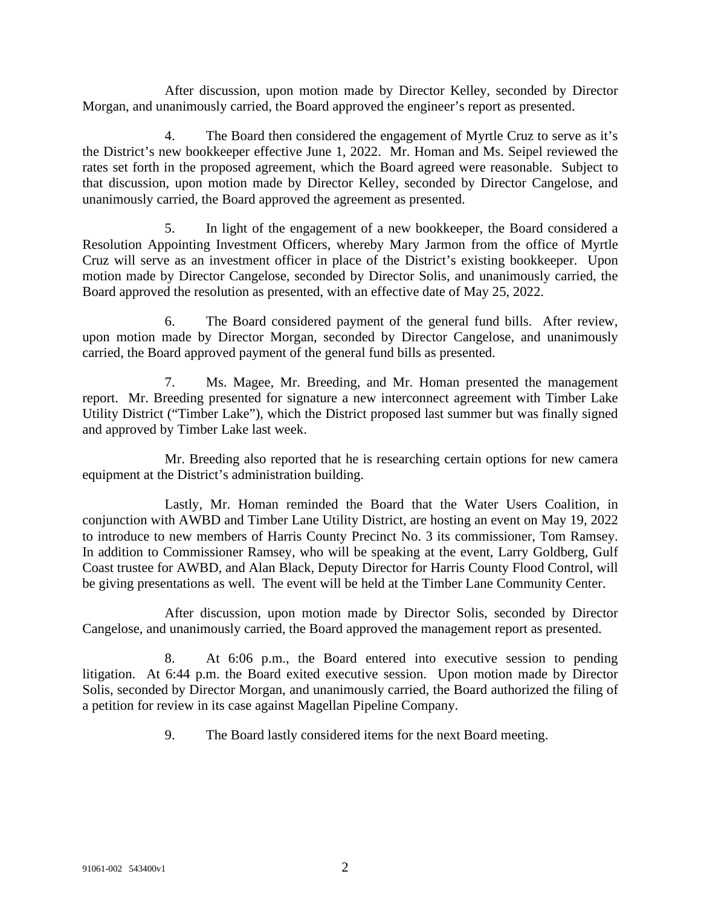After discussion, upon motion made by Director Kelley, seconded by Director Morgan, and unanimously carried, the Board approved the engineer's report as presented.

4. The Board then considered the engagement of Myrtle Cruz to serve as it's the District's new bookkeeper effective June 1, 2022. Mr. Homan and Ms. Seipel reviewed the rates set forth in the proposed agreement, which the Board agreed were reasonable. Subject to that discussion, upon motion made by Director Kelley, seconded by Director Cangelose, and unanimously carried, the Board approved the agreement as presented.

5. In light of the engagement of a new bookkeeper, the Board considered a Resolution Appointing Investment Officers, whereby Mary Jarmon from the office of Myrtle Cruz will serve as an investment officer in place of the District's existing bookkeeper. Upon motion made by Director Cangelose, seconded by Director Solis, and unanimously carried, the Board approved the resolution as presented, with an effective date of May 25, 2022.

6. The Board considered payment of the general fund bills. After review, upon motion made by Director Morgan, seconded by Director Cangelose, and unanimously carried, the Board approved payment of the general fund bills as presented.

7. Ms. Magee, Mr. Breeding, and Mr. Homan presented the management report. Mr. Breeding presented for signature a new interconnect agreement with Timber Lake Utility District ("Timber Lake"), which the District proposed last summer but was finally signed and approved by Timber Lake last week.

Mr. Breeding also reported that he is researching certain options for new camera equipment at the District's administration building.

Lastly, Mr. Homan reminded the Board that the Water Users Coalition, in conjunction with AWBD and Timber Lane Utility District, are hosting an event on May 19, 2022 to introduce to new members of Harris County Precinct No. 3 its commissioner, Tom Ramsey. In addition to Commissioner Ramsey, who will be speaking at the event, Larry Goldberg, Gulf Coast trustee for AWBD, and Alan Black, Deputy Director for Harris County Flood Control, will be giving presentations as well. The event will be held at the Timber Lane Community Center.

After discussion, upon motion made by Director Solis, seconded by Director Cangelose, and unanimously carried, the Board approved the management report as presented.

8. At 6:06 p.m., the Board entered into executive session to pending litigation. At 6:44 p.m. the Board exited executive session. Upon motion made by Director Solis, seconded by Director Morgan, and unanimously carried, the Board authorized the filing of a petition for review in its case against Magellan Pipeline Company.

9. The Board lastly considered items for the next Board meeting.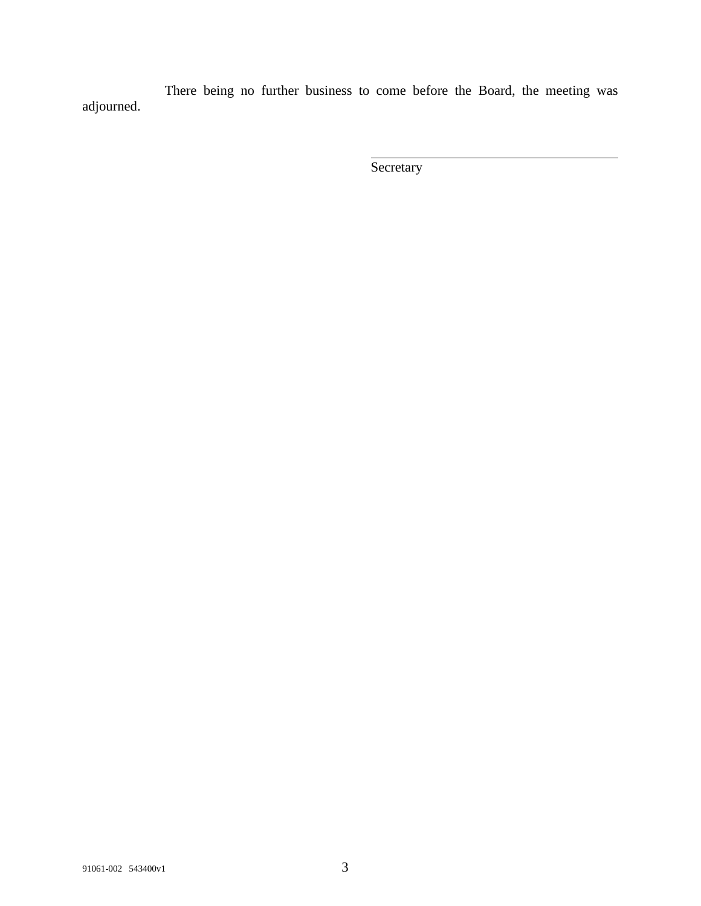There being no further business to come before the Board, the meeting was adjourned.

**Secretary**